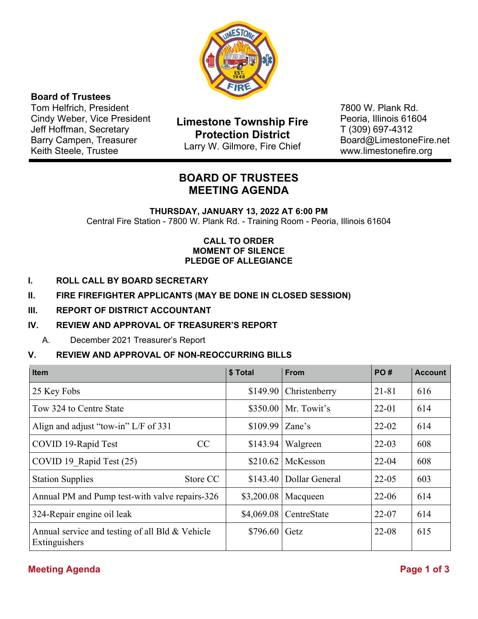

# **Board of Trustees**

Tom Helfrich, President Cindy Weber, Vice President Jeff Hoffman, Secretary Barry Campen, Treasurer Keith Steele, Trustee

**Limestone Township Fire Protection District**  Larry W. Gilmore, Fire Chief

7800 W. Plank Rd. Peoria, Illinois 61604 T (309) 697-4312 Board@LimestoneFire.net www.limestonefire.org

# **BOARD OF TRUSTEES MEETING AGENDA**

**THURSDAY, JANUARY 13, 2022 AT 6:00 PM** Central Fire Station - 7800 W. Plank Rd. - Training Room - Peoria, Illinois 61604

### **CALL TO ORDER MOMENT OF SILENCE PLEDGE OF ALLEGIANCE**

- **I. ROLL CALL BY BOARD SECRETARY**
- **II. FIRE FIREFIGHTER APPLICANTS (MAY BE DONE IN CLOSED SESSION)**

### **III. REPORT OF DISTRICT ACCOUNTANT**

### **IV. REVIEW AND APPROVAL OF TREASURER'S REPORT**

A. December 2021 Treasurer's Report

### **V. REVIEW AND APPROVAL OF NON-REOCCURRING BILLS**

| <b>Item</b>                                                      | \$ Total   | <b>From</b>    | PO#       | <b>Account</b> |
|------------------------------------------------------------------|------------|----------------|-----------|----------------|
| 25 Key Fobs                                                      | \$149.90   | Christenberry  | $21 - 81$ | 616            |
| Tow 324 to Centre State                                          | \$350.00   | Mr. Towit's    | $22 - 01$ | 614            |
| Align and adjust "tow-in" L/F of 331                             | \$109.99   | Zane's         | $22 - 02$ | 614            |
| COVID 19-Rapid Test<br>CC                                        | \$143.94   | Walgreen       | $22 - 03$ | 608            |
| COVID 19 Rapid Test (25)                                         | \$210.62   | McKesson       | $22 - 04$ | 608            |
| <b>Station Supplies</b><br>Store CC                              | \$143.40   | Dollar General | $22 - 05$ | 603            |
| Annual PM and Pump test-with valve repairs-326                   | \$3,200.08 | Macqueen       | $22 - 06$ | 614            |
| 324-Repair engine oil leak                                       | \$4,069.08 | CentreState    | $22 - 07$ | 614            |
| Annual service and testing of all Bld & Vehicle<br>Extinguishers | \$796.60   | Getz           | $22 - 08$ | 615            |

# **Meeting Agenda** Page 1 of 3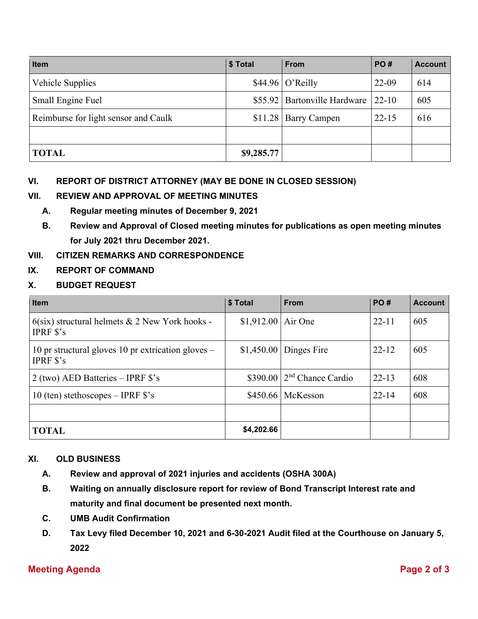| <b>Item</b>                          | \$ Total   | <b>From</b>                  | PO#       | <b>Account</b> |
|--------------------------------------|------------|------------------------------|-----------|----------------|
| Vehicle Supplies                     |            | $$44.96 $ O'Reilly           | 22-09     | 614            |
| Small Engine Fuel                    |            | \$55.92 Bartonville Hardware | $22 - 10$ | 605            |
| Reimburse for light sensor and Caulk | \$11.28    | <b>Barry Campen</b>          | $22 - 15$ | 616            |
|                                      |            |                              |           |                |
| <b>TOTAL</b>                         | \$9,285.77 |                              |           |                |

# **VI. REPORT OF DISTRICT ATTORNEY (MAY BE DONE IN CLOSED SESSION)**

# **VII. REVIEW AND APPROVAL OF MEETING MINUTES**

- **A. Regular meeting minutes of December 9, 2021**
- **B. Review and Approval of Closed meeting minutes for publications as open meeting minutes for July 2021 thru December 2021.**

# **VIII. CITIZEN REMARKS AND CORRESPONDENCE**

# **IX. REPORT OF COMMAND**

# **X. BUDGET REQUEST**

| <b>Item</b>                                                                | \$ Total            | <b>From</b>                   | <b>PO#</b> | <b>Account</b> |
|----------------------------------------------------------------------------|---------------------|-------------------------------|------------|----------------|
| $6$ (six) structural helmets & 2 New York hooks -<br><b>IPRF</b> $s$ 's    | $$1,912.00$ Air One |                               | $22 - 11$  | 605            |
| 10 pr structural gloves 10 pr extrication gloves $-$<br><b>IPRF</b> $s$ 's |                     | $$1,450.00$ Dinges Fire       | $22 - 12$  | 605            |
| $2$ (two) AED Batteries – IPRF $\$ s's                                     |                     | $$390.00$ $2nd$ Chance Cardio | $22 - 13$  | 608            |
| 10 (ten) stethoscopes – IPRF $\$ {s}'s                                     |                     | \$450.66   McKesson           | $22 - 14$  | 608            |
|                                                                            |                     |                               |            |                |
| <b>TOTAL</b>                                                               | \$4,202.66          |                               |            |                |

# **XI. OLD BUSINESS**

- **A. Review and approval of 2021 injuries and accidents (OSHA 300A)**
- **B. Waiting on annually disclosure report for review of Bond Transcript Interest rate and maturity and final document be presented next month.**
- **C. UMB Audit Confirmation**
- **D. Tax Levy filed December 10, 2021 and 6-30-2021 Audit filed at the Courthouse on January 5, 2022**

# **Meeting Agenda** Page 2 of 3